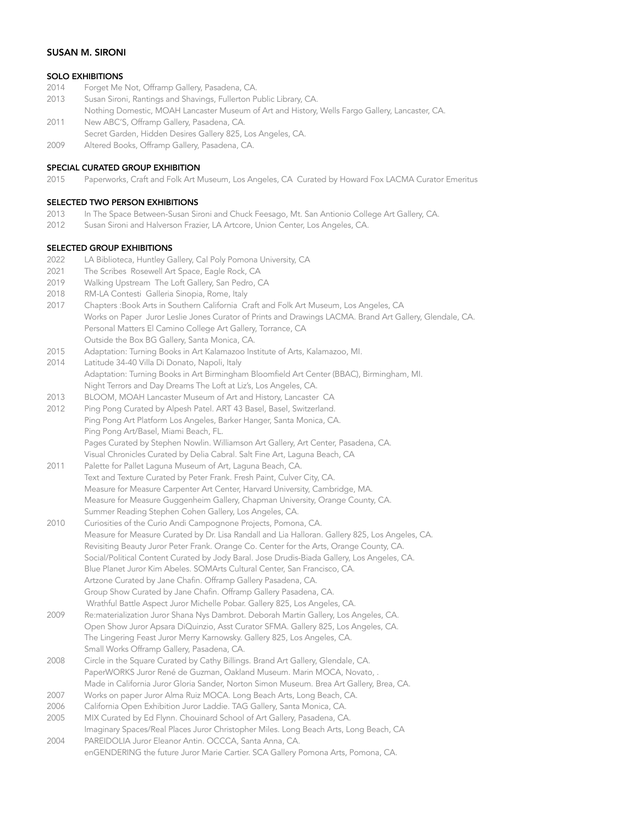## SUSAN M. SIRONI

# SOLO EXHIBITIONS

- 2014 Forget Me Not, Offramp Gallery, Pasadena, CA.
- 2013 Susan Sironi, Rantings and Shavings, Fullerton Public Library, CA.
- Nothing Domestic, MOAH Lancaster Museum of Art and History, Wells Fargo Gallery, Lancaster, CA. 2011 New ABC'S, Offramp Gallery, Pasadena, CA.
- 
- Secret Garden, Hidden Desires Gallery 825, Los Angeles, CA. 2009 Altered Books, Offramp Gallery, Pasadena, CA.
- 

# SPECIAL CURATED GROUP EXHIBITION

2015 Paperworks, Craft and Folk Art Museum, Los Angeles, CA Curated by Howard Fox LACMA Curator Emeritus

### SELECTED TWO PERSON EXHIBITIONS

- 2013 In The Space Between-Susan Sironi and Chuck Feesago, Mt. San Antionio College Art Gallery, CA.
- 2012 Susan Sironi and Halverson Frazier, LA Artcore, Union Center, Los Angeles, CA.

### SELECTED GROUP EXHIBITIONS

- 2022 LA Biblioteca, Huntley Gallery, Cal Poly Pomona University, CA
- 2021 The Scribes Rosewell Art Space, Eagle Rock, CA
- 2019 Walking Upstream The Loft Gallery, San Pedro, CA
- 2018 RM-LA Contesti Galleria Sinopia, Rome, Italy
- 2017 Chapters :Book Arts in Southern California Craft and Folk Art Museum, Los Angeles, CA Works on Paper Juror Leslie Jones Curator of Prints and Drawings LACMA. Brand Art Gallery, Glendale, CA. Personal Matters El Camino College Art Gallery, Torrance, CA Outside the Box BG Gallery, Santa Monica, CA.
- 2015 Adaptation: Turning Books in Art Kalamazoo Institute of Arts, Kalamazoo, MI.
- 2014 Latitude 34-40 Villa Di Donato, Napoli, Italy Adaptation: Turning Books in Art Birmingham Bloomfield Art Center (BBAC), Birmingham, MI. Night Terrors and Day Dreams The Loft at Liz's, Los Angeles, CA.
- 2013 BLOOM, MOAH Lancaster Museum of Art and History, Lancaster CA
- 2012 Ping Pong Curated by Alpesh Patel. ART 43 Basel, Basel, Switzerland. Ping Pong Art Platform Los Angeles, Barker Hanger, Santa Monica, CA. Ping Pong Art/Basel, Miami Beach, FL. Pages Curated by Stephen Nowlin. Williamson Art Gallery, Art Center, Pasadena, CA. Visual Chronicles Curated by Delia Cabral. Salt Fine Art, Laguna Beach, CA
- 2011 Palette for Pallet Laguna Museum of Art, Laguna Beach, CA. Text and Texture Curated by Peter Frank. Fresh Paint, Culver City, CA. Measure for Measure Carpenter Art Center, Harvard University, Cambridge, MA. Measure for Measure Guggenheim Gallery, Chapman University, Orange County, CA. Summer Reading Stephen Cohen Gallery, Los Angeles, CA.
- 2010 Curiosities of the Curio Andi Campognone Projects, Pomona, CA. Measure for Measure Curated by Dr. Lisa Randall and Lia Halloran. Gallery 825, Los Angeles, CA. Revisiting Beauty Juror Peter Frank. Orange Co. Center for the Arts, Orange County, CA. Social/Political Content Curated by Jody Baral. Jose Drudis-Biada Gallery, Los Angeles, CA. Blue Planet Juror Kim Abeles. SOMArts Cultural Center, San Francisco, CA. Artzone Curated by Jane Chafin. Offramp Gallery Pasadena, CA. Group Show Curated by Jane Chafin. Offramp Gallery Pasadena, CA. Wrathful Battle Aspect Juror Michelle Pobar. Gallery 825, Los Angeles, CA.
- 2009 Re:materialization Juror Shana Nys Dambrot. Deborah Martin Gallery, Los Angeles, CA. Open Show Juror Apsara DiQuinzio, Asst Curator SFMA. Gallery 825, Los Angeles, CA. The Lingering Feast Juror Merry Karnowsky. Gallery 825, Los Angeles, CA. Small Works Offramp Gallery, Pasadena, CA.
- 2008 Circle in the Square Curated by Cathy Billings. Brand Art Gallery, Glendale, CA. PaperWORKS Juror René de Guzman, Oakland Museum. Marin MOCA, Novato, . Made in California Juror Gloria Sander, Norton Simon Museum. Brea Art Gallery, Brea, CA.
- 2007 Works on paper Juror Alma Ruiz MOCA. Long Beach Arts, Long Beach, CA.
- 2006 California Open Exhibition Juror Laddie. TAG Gallery, Santa Monica, CA.
- 2005 MIX Curated by Ed Flynn. Chouinard School of Art Gallery, Pasadena, CA. Imaginary Spaces/Real Places Juror Christopher Miles. Long Beach Arts, Long Beach, CA
- 2004 PAREIDOLIA Juror Eleanor Antin. OCCCA, Santa Anna, CA. enGENDERING the future Juror Marie Cartier. SCA Gallery Pomona Arts, Pomona, CA.